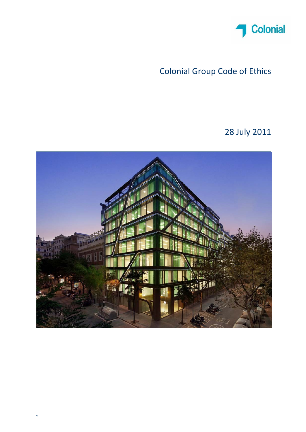

# Colonial Group Code of Ethics

28 July 2011

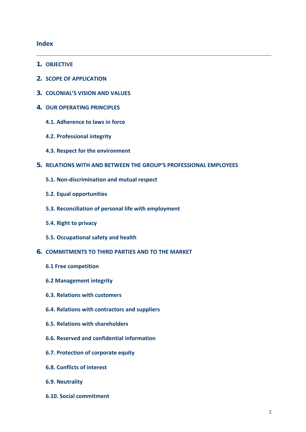### **Index**

- **1. OBJECTIVE**
- **2. SCOPE OF APPLICATION**
- **3. COLONIAL'S VISION AND VALUES**
- **4. OUR OPERATING PRINCIPLES**
	- **4.1. Adherence to laws in force**
	- **4.2. Professional integrity**
	- **4.3. Respect for the environment**
- **5. RELATIONS WITH AND BETWEEN THE GROUP'S PROFESSIONAL EMPLOYEES**
	- **5.1. Non‐discrimination and mutual respect**
	- **5.2. Equal opportunities**
	- **5.3. Reconciliation of personal life with employment**
	- **5.4. Right to privacy**
	- **5.5. Occupational safety and health**
- **6. COMMITMENTS TO THIRD PARTIES AND TO THE MARKET**
	- **6.1 Free competition**
	- **6.2 Management integrity**
	- **6.3. Relations with customers**
	- **6.4. Relations with contractors and suppliers**
	- **6.5. Relations with shareholders**
	- **6.6. Reserved and confidential information**
	- **6.7. Protection of corporate equity**
	- **6.8. Conflicts of interest**
	- **6.9. Neutrality**
	- **6.10. Social commitment**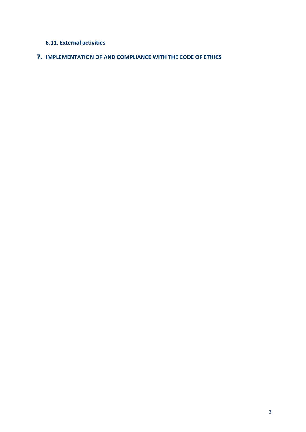### **6.11. External activities**

### **7. IMPLEMENTATION OF AND COMPLIANCE WITH THE CODE OF ETHICS**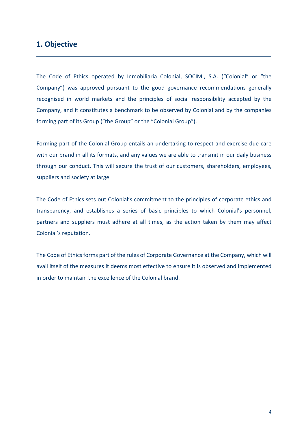### **1. Objective**

The Code of Ethics operated by Inmobiliaria Colonial, SOCIMI, S.A. ("Colonial" or "the Company") was approved pursuant to the good governance recommendations generally recognised in world markets and the principles of social responsibility accepted by the Company, and it constitutes a benchmark to be observed by Colonial and by the companies forming part of its Group ("the Group" or the "Colonial Group").

Forming part of the Colonial Group entails an undertaking to respect and exercise due care with our brand in all its formats, and any values we are able to transmit in our daily business through our conduct. This will secure the trust of our customers, shareholders, employees, suppliers and society at large.

The Code of Ethics sets out Colonial's commitment to the principles of corporate ethics and transparency, and establishes a series of basic principles to which Colonial's personnel, partners and suppliers must adhere at all times, as the action taken by them may affect Colonial's reputation.

The Code of Ethics forms part of the rules of Corporate Governance at the Company, which will avail itself of the measures it deems most effective to ensure it is observed and implemented in order to maintain the excellence of the Colonial brand.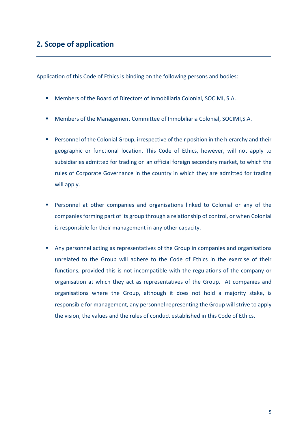Application of this Code of Ethics is binding on the following persons and bodies:

- Members of the Board of Directors of Inmobiliaria Colonial, SOCIMI, S.A.
- Members of the Management Committee of Inmobiliaria Colonial, SOCIMI,S.A.
- **Personnel of the Colonial Group, irrespective of their position in the hierarchy and their** geographic or functional location. This Code of Ethics, however, will not apply to subsidiaries admitted for trading on an official foreign secondary market, to which the rules of Corporate Governance in the country in which they are admitted for trading will apply.
- **Personnel at other companies and organisations linked to Colonial or any of the** companies forming part of its group through a relationship of control, or when Colonial is responsible for their management in any other capacity.
- Any personnel acting as representatives of the Group in companies and organisations unrelated to the Group will adhere to the Code of Ethics in the exercise of their functions, provided this is not incompatible with the regulations of the company or organisation at which they act as representatives of the Group. At companies and organisations where the Group, although it does not hold a majority stake, is responsible for management, any personnel representing the Group will strive to apply the vision, the values and the rules of conduct established in this Code of Ethics.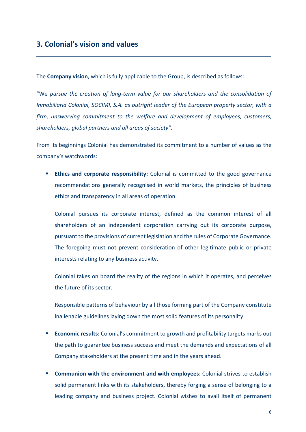The **Company vision**, which is fully applicable to the Group, is described as follows:

"We *pursue the creation of long‐term value for our shareholders and the consolidation of Inmobiliaria Colonial, SOCIMI, S.A. as outright leader of the European property sector, with a firm, unswerving commitment to the welfare and development of employees, customers, shareholders, global partners and all areas of society".*

From its beginnings Colonial has demonstrated its commitment to a number of values as the company's watchwords:

**Ethics and corporate responsibility:** Colonial is committed to the good governance recommendations generally recognised in world markets, the principles of business ethics and transparency in all areas of operation.

Colonial pursues its corporate interest, defined as the common interest of all shareholders of an independent corporation carrying out its corporate purpose, pursuant to the provisions of current legislation and the rules of Corporate Governance. The foregoing must not prevent consideration of other legitimate public or private interests relating to any business activity.

Colonial takes on board the reality of the regions in which it operates, and perceives the future of its sector.

Responsible patterns of behaviour by all those forming part of the Company constitute inalienable guidelines laying down the most solid features of its personality.

- **Economic results:** Colonial's commitment to growth and profitability targets marks out the path to guarantee business success and meet the demands and expectations of all Company stakeholders at the present time and in the years ahead.
- **Communion with the environment and with employees:** Colonial strives to establish solid permanent links with its stakeholders, thereby forging a sense of belonging to a leading company and business project. Colonial wishes to avail itself of permanent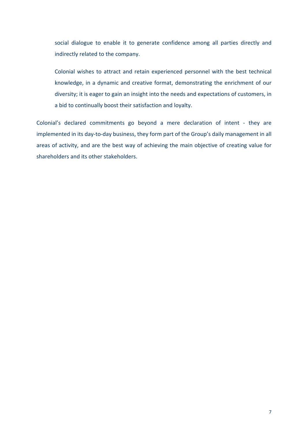social dialogue to enable it to generate confidence among all parties directly and indirectly related to the company.

Colonial wishes to attract and retain experienced personnel with the best technical knowledge, in a dynamic and creative format, demonstrating the enrichment of our diversity; it is eager to gain an insight into the needs and expectations of customers, in a bid to continually boost their satisfaction and loyalty.

Colonial's declared commitments go beyond a mere declaration of intent - they are implemented in its day-to-day business, they form part of the Group's daily management in all areas of activity, and are the best way of achieving the main objective of creating value for shareholders and its other stakeholders.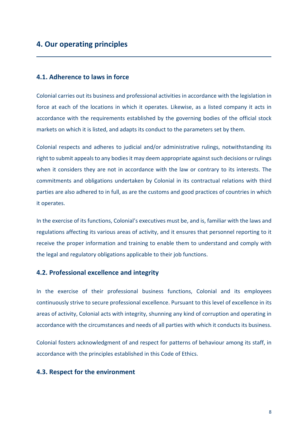### **4.1. Adherence to laws in force**

Colonial carries out its business and professional activities in accordance with the legislation in force at each of the locations in which it operates. Likewise, as a listed company it acts in accordance with the requirements established by the governing bodies of the official stock markets on which it is listed, and adapts its conduct to the parameters set by them.

Colonial respects and adheres to judicial and/or administrative rulings, notwithstanding its right to submit appeals to any bodies it may deem appropriate against such decisions or rulings when it considers they are not in accordance with the law or contrary to its interests. The commitments and obligations undertaken by Colonial in its contractual relations with third parties are also adhered to in full, as are the customs and good practices of countries in which it operates.

In the exercise of its functions, Colonial's executives must be, and is, familiar with the laws and regulations affecting its various areas of activity, and it ensures that personnel reporting to it receive the proper information and training to enable them to understand and comply with the legal and regulatory obligations applicable to their job functions.

### **4.2. Professional excellence and integrity**

In the exercise of their professional business functions, Colonial and its employees continuously strive to secure professional excellence. Pursuant to this level of excellence in its areas of activity, Colonial acts with integrity, shunning any kind of corruption and operating in accordance with the circumstances and needs of all parties with which it conducts its business.

Colonial fosters acknowledgment of and respect for patterns of behaviour among its staff, in accordance with the principles established in this Code of Ethics.

#### **4.3. Respect for the environment**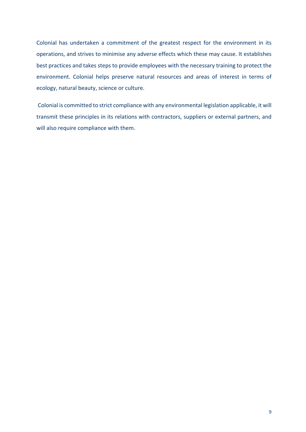Colonial has undertaken a commitment of the greatest respect for the environment in its operations, and strives to minimise any adverse effects which these may cause. It establishes best practices and takes steps to provide employees with the necessary training to protect the environment. Colonial helps preserve natural resources and areas of interest in terms of ecology, natural beauty, science or culture.

 Colonial is committed to strict compliance with any environmental legislation applicable, it will transmit these principles in its relations with contractors, suppliers or external partners, and will also require compliance with them.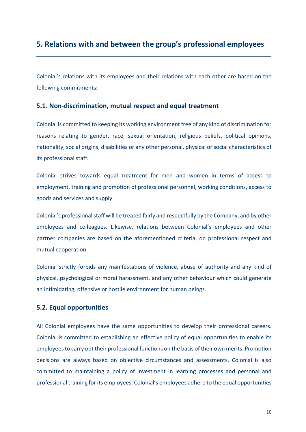# **5. Relations with and between the group's professional employees**

Colonial's relations with its employees and their relations with each other are based on the following commitments:

### **5.1. Non‐discrimination, mutual respect and equal treatment**

Colonial is committed to keeping its working environment free of any kind of discrimination for reasons relating to gender, race, sexual orientation, religious beliefs, political opinions, nationality, social origins, disabilities or any other personal, physical or social characteristics of its professional staff.

Colonial strives towards equal treatment for men and women in terms of access to employment, training and promotion of professional personnel, working conditions, access to goods and services and supply.

Colonial's professional staff will be treated fairly and respectfully by the Company, and by other employees and colleagues. Likewise, relations between Colonial's employees and other partner companies are based on the aforementioned criteria, on professional respect and mutual cooperation.

Colonial strictly forbids any manifestations of violence, abuse of authority and any kind of physical, psychological or moral harassment, and any other behaviour which could generate an intimidating, offensive or hostile environment for human beings.

### **5.2. Equal opportunities**

All Colonial employees have the same opportunities to develop their professional careers. Colonial is committed to establishing an effective policy of equal opportunities to enable its employees to carry out their professional functions on the basis of their own merits. Promotion decisions are always based on objective circumstances and assessments. Colonial is also committed to maintaining a policy of investment in learning processes and personal and professional training for its employees. Colonial's employees adhere to the equal opportunities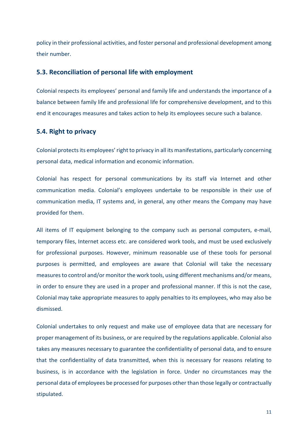policy in their professional activities, and foster personal and professional development among their number.

### **5.3. Reconciliation of personal life with employment**

Colonial respects its employees' personal and family life and understands the importance of a balance between family life and professional life for comprehensive development, and to this end it encourages measures and takes action to help its employees secure such a balance.

### **5.4. Right to privacy**

Colonial protects its employees' right to privacy in all its manifestations, particularly concerning personal data, medical information and economic information.

Colonial has respect for personal communications by its staff via Internet and other communication media. Colonial's employees undertake to be responsible in their use of communication media, IT systems and, in general, any other means the Company may have provided for them.

All items of IT equipment belonging to the company such as personal computers, e-mail, temporary files, Internet access etc. are considered work tools, and must be used exclusively for professional purposes. However, minimum reasonable use of these tools for personal purposes is permitted, and employees are aware that Colonial will take the necessary measures to control and/or monitor the work tools, using different mechanisms and/or means, in order to ensure they are used in a proper and professional manner. If this is not the case, Colonial may take appropriate measures to apply penalties to its employees, who may also be dismissed.

Colonial undertakes to only request and make use of employee data that are necessary for proper management of its business, or are required by the regulations applicable. Colonial also takes any measures necessary to guarantee the confidentiality of personal data, and to ensure that the confidentiality of data transmitted, when this is necessary for reasons relating to business, is in accordance with the legislation in force. Under no circumstances may the personal data of employees be processed for purposes other than those legally or contractually stipulated.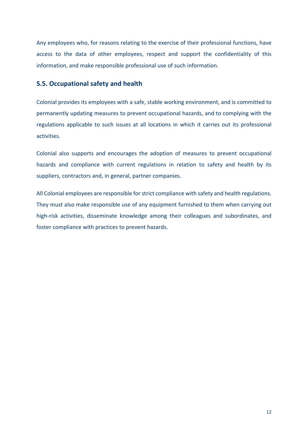Any employees who, for reasons relating to the exercise of their professional functions, have access to the data of other employees, respect and support the confidentiality of this information, and make responsible professional use of such information.

### **5.5. Occupational safety and health**

Colonial provides its employees with a safe, stable working environment, and is committed to permanently updating measures to prevent occupational hazards, and to complying with the regulations applicable to such issues at all locations in which it carries out its professional activities.

Colonial also supports and encourages the adoption of measures to prevent occupational hazards and compliance with current regulations in relation to safety and health by its suppliers, contractors and, in general, partner companies.

All Colonial employees are responsible for strict compliance with safety and health regulations. They must also make responsible use of any equipment furnished to them when carrying out high-risk activities, disseminate knowledge among their colleagues and subordinates, and foster compliance with practices to prevent hazards.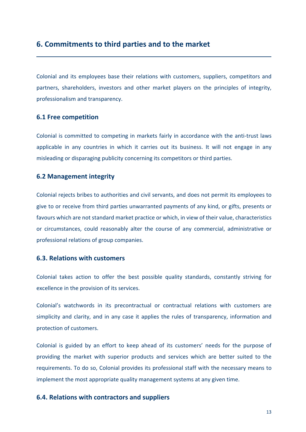### **6. Commitments to third parties and to the market**

Colonial and its employees base their relations with customers, suppliers, competitors and partners, shareholders, investors and other market players on the principles of integrity, professionalism and transparency.

### **6.1 Free competition**

Colonial is committed to competing in markets fairly in accordance with the anti‐trust laws applicable in any countries in which it carries out its business. It will not engage in any misleading or disparaging publicity concerning its competitors or third parties.

### **6.2 Management integrity**

Colonial rejects bribes to authorities and civil servants, and does not permit its employees to give to or receive from third parties unwarranted payments of any kind, or gifts, presents or favours which are not standard market practice or which, in view of their value, characteristics or circumstances, could reasonably alter the course of any commercial, administrative or professional relations of group companies.

### **6.3. Relations with customers**

Colonial takes action to offer the best possible quality standards, constantly striving for excellence in the provision of its services.

Colonial's watchwords in its precontractual or contractual relations with customers are simplicity and clarity, and in any case it applies the rules of transparency, information and protection of customers.

Colonial is guided by an effort to keep ahead of its customers' needs for the purpose of providing the market with superior products and services which are better suited to the requirements. To do so, Colonial provides its professional staff with the necessary means to implement the most appropriate quality management systems at any given time.

### **6.4. Relations with contractors and suppliers**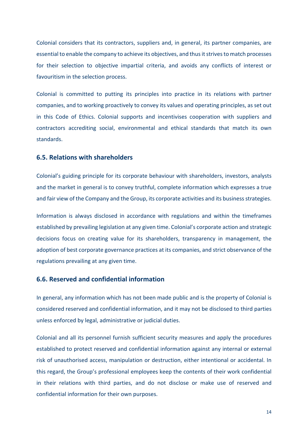Colonial considers that its contractors, suppliers and, in general, its partner companies, are essential to enable the company to achieve its objectives, and thus it strives to match processes for their selection to objective impartial criteria, and avoids any conflicts of interest or favouritism in the selection process.

Colonial is committed to putting its principles into practice in its relations with partner companies, and to working proactively to convey its values and operating principles, as set out in this Code of Ethics. Colonial supports and incentivises cooperation with suppliers and contractors accrediting social, environmental and ethical standards that match its own standards.

### **6.5. Relations with shareholders**

Colonial's guiding principle for its corporate behaviour with shareholders, investors, analysts and the market in general is to convey truthful, complete information which expresses a true and fair view of the Company and the Group, its corporate activities and its business strategies.

Information is always disclosed in accordance with regulations and within the timeframes established by prevailing legislation at any given time. Colonial's corporate action and strategic decisions focus on creating value for its shareholders, transparency in management, the adoption of best corporate governance practices at its companies, and strict observance of the regulations prevailing at any given time.

### **6.6. Reserved and confidential information**

In general, any information which has not been made public and is the property of Colonial is considered reserved and confidential information, and it may not be disclosed to third parties unless enforced by legal, administrative or judicial duties.

Colonial and all its personnel furnish sufficient security measures and apply the procedures established to protect reserved and confidential information against any internal or external risk of unauthorised access, manipulation or destruction, either intentional or accidental. In this regard, the Group's professional employees keep the contents of their work confidential in their relations with third parties, and do not disclose or make use of reserved and confidential information for their own purposes.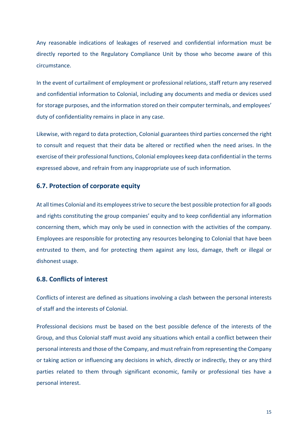Any reasonable indications of leakages of reserved and confidential information must be directly reported to the Regulatory Compliance Unit by those who become aware of this circumstance.

In the event of curtailment of employment or professional relations, staff return any reserved and confidential information to Colonial, including any documents and media or devices used for storage purposes, and the information stored on their computer terminals, and employees' duty of confidentiality remains in place in any case.

Likewise, with regard to data protection, Colonial guarantees third parties concerned the right to consult and request that their data be altered or rectified when the need arises. In the exercise of their professional functions, Colonial employees keep data confidential in the terms expressed above, and refrain from any inappropriate use of such information.

### **6.7. Protection of corporate equity**

At all times Colonial and its employees strive to secure the best possible protection for all goods and rights constituting the group companies' equity and to keep confidential any information concerning them, which may only be used in connection with the activities of the company. Employees are responsible for protecting any resources belonging to Colonial that have been entrusted to them, and for protecting them against any loss, damage, theft or illegal or dishonest usage.

### **6.8. Conflicts of interest**

Conflicts of interest are defined as situations involving a clash between the personal interests of staff and the interests of Colonial.

Professional decisions must be based on the best possible defence of the interests of the Group, and thus Colonial staff must avoid any situations which entail a conflict between their personal interests and those of the Company, and must refrain from representing the Company or taking action or influencing any decisions in which, directly or indirectly, they or any third parties related to them through significant economic, family or professional ties have a personal interest.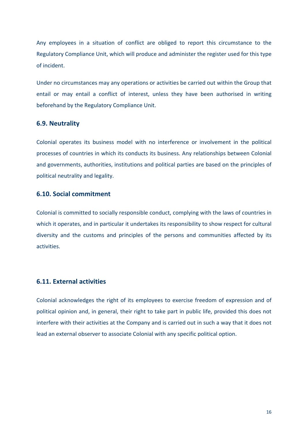Any employees in a situation of conflict are obliged to report this circumstance to the Regulatory Compliance Unit, which will produce and administer the register used for this type of incident.

Under no circumstances may any operations or activities be carried out within the Group that entail or may entail a conflict of interest, unless they have been authorised in writing beforehand by the Regulatory Compliance Unit.

### **6.9. Neutrality**

Colonial operates its business model with no interference or involvement in the political processes of countries in which its conducts its business. Any relationships between Colonial and governments, authorities, institutions and political parties are based on the principles of political neutrality and legality.

### **6.10. Social commitment**

Colonial is committed to socially responsible conduct, complying with the laws of countries in which it operates, and in particular it undertakes its responsibility to show respect for cultural diversity and the customs and principles of the persons and communities affected by its activities.

### **6.11. External activities**

Colonial acknowledges the right of its employees to exercise freedom of expression and of political opinion and, in general, their right to take part in public life, provided this does not interfere with their activities at the Company and is carried out in such a way that it does not lead an external observer to associate Colonial with any specific political option.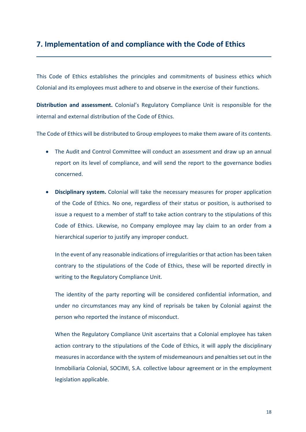# **7. Implementation of and compliance with the Code of Ethics**

This Code of Ethics establishes the principles and commitments of business ethics which Colonial and its employees must adhere to and observe in the exercise of their functions.

**Distribution and assessment.**  Colonial's Regulatory Compliance Unit is responsible for the internal and external distribution of the Code of Ethics.

The Code of Ethics will be distributed to Group employees to make them aware of its contents.

- The Audit and Control Committee will conduct an assessment and draw up an annual report on its level of compliance, and will send the report to the governance bodies concerned.
- **Disciplinary system.** Colonial will take the necessary measures for proper application of the Code of Ethics. No one, regardless of their status or position, is authorised to issue a request to a member of staff to take action contrary to the stipulations of this Code of Ethics. Likewise, no Company employee may lay claim to an order from a hierarchical superior to justify any improper conduct.

In the event of any reasonable indications of irregularities or that action has been taken contrary to the stipulations of the Code of Ethics, these will be reported directly in writing to the Regulatory Compliance Unit.

The identity of the party reporting will be considered confidential information, and under no circumstances may any kind of reprisals be taken by Colonial against the person who reported the instance of misconduct.

When the Regulatory Compliance Unit ascertains that a Colonial employee has taken action contrary to the stipulations of the Code of Ethics, it will apply the disciplinary measures in accordance with the system of misdemeanours and penalties set out in the Inmobiliaria Colonial, SOCIMI, S.A. collective labour agreement or in the employment legislation applicable.